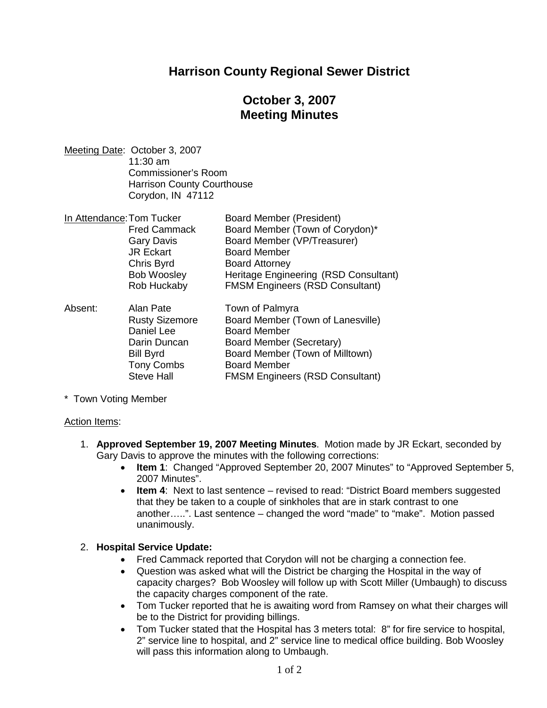## **Harrison County Regional Sewer District**

# **October 3, 2007 Meeting Minutes**

Meeting Date: October 3, 2007 11:30 am Commissioner's Room Harrison County Courthouse Corydon, IN 47112

| In Attendance: Tom Tucker | Board Member (President)               |
|---------------------------|----------------------------------------|
| <b>Fred Cammack</b>       | Board Member (Town of Corydon)*        |
| <b>Gary Davis</b>         | Board Member (VP/Treasurer)            |
| <b>JR Eckart</b>          | <b>Board Member</b>                    |
| Chris Byrd                | <b>Board Attorney</b>                  |
| <b>Bob Woosley</b>        | Heritage Engineering (RSD Consultant)  |
| Rob Huckaby               | <b>FMSM Engineers (RSD Consultant)</b> |

| Absent: | Alan Pate             | Town of Palmyra                        |
|---------|-----------------------|----------------------------------------|
|         | <b>Rusty Sizemore</b> | Board Member (Town of Lanesville)      |
|         | Daniel Lee            | <b>Board Member</b>                    |
|         | Darin Duncan          | <b>Board Member (Secretary)</b>        |
|         | <b>Bill Byrd</b>      | Board Member (Town of Milltown)        |
|         | <b>Tony Combs</b>     | <b>Board Member</b>                    |
|         | <b>Steve Hall</b>     | <b>FMSM Engineers (RSD Consultant)</b> |

\* Town Voting Member

#### Action Items:

- 1. **Approved September 19, 2007 Meeting Minutes**. Motion made by JR Eckart, seconded by Gary Davis to approve the minutes with the following corrections:
	- **Item 1**: Changed "Approved September 20, 2007 Minutes" to "Approved September 5, 2007 Minutes".
	- **Item 4**: Next to last sentence revised to read: "District Board members suggested that they be taken to a couple of sinkholes that are in stark contrast to one another…..". Last sentence – changed the word "made" to "make". Motion passed unanimously.

#### 2. **Hospital Service Update:**

- Fred Cammack reported that Corydon will not be charging a connection fee.
- Question was asked what will the District be charging the Hospital in the way of capacity charges? Bob Woosley will follow up with Scott Miller (Umbaugh) to discuss the capacity charges component of the rate.
- Tom Tucker reported that he is awaiting word from Ramsey on what their charges will be to the District for providing billings.
- Tom Tucker stated that the Hospital has 3 meters total: 8" for fire service to hospital, 2" service line to hospital, and 2" service line to medical office building. Bob Woosley will pass this information along to Umbaugh.